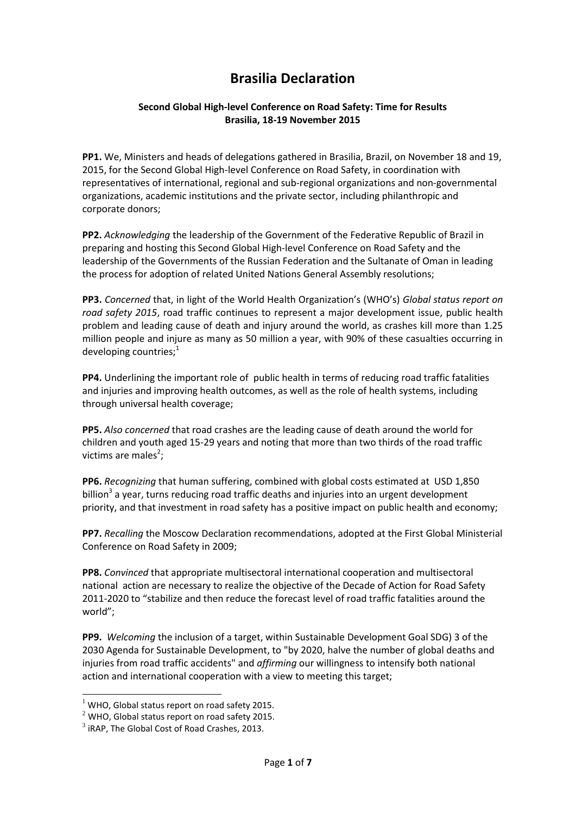# **Brasilia Declaration**

#### **Second Global High-level Conference on Road Safety: Time for Results Brasilia, 18-19 November 2015**

**PP1.** We, Ministers and heads of delegations gathered in Brasilia, Brazil, on November 18 and 19, 2015, for the Second Global High-level Conference on Road Safety, in coordination with representatives of international, regional and sub-regional organizations and non-governmental organizations, academic institutions and the private sector, including philanthropic and corporate donors;

**PP2.** *Acknowledging* the leadership of the Government of the Federative Republic of Brazil in preparing and hosting this Second Global High-level Conference on Road Safety and the leadership of the Governments of the Russian Federation and the Sultanate of Oman in leading the process for adoption of related United Nations General Assembly resolutions;

**PP3.** *Concerned* that, in light of the World Health Organization's (WHO's) *Global status report on road safety 2015*, road traffic continues to represent a major development issue, public health problem and leading cause of death and injury around the world, as crashes kill more than 1.25 million people and injure as many as 50 million a year, with 90% of these casualties occurring in developing countries; $<sup>1</sup>$ </sup>

**PP4.** Underlining the important role of public health in terms of reducing road traffic fatalities and injuries and improving health outcomes, as well as the role of health systems, including through universal health coverage;

**PP5.** *Also concerned* that road crashes are the leading cause of death around the world for children and youth aged 15-29 years and noting that more than two thirds of the road traffic victims are males<sup>2</sup>;

**PP6.** *Recognizing* that human suffering, combined with global costs estimated at USD 1,850 billion<sup>3</sup> a year, turns reducing road traffic deaths and injuries into an urgent development priority, and that investment in road safety has a positive impact on public health and economy;

**PP7.** *Recalling* the Moscow Declaration recommendations, adopted at the First Global Ministerial Conference on Road Safety in 2009;

**PP8.** *Convinced* that appropriate multisectoral international cooperation and multisectoral national action are necessary to realize the objective of the Decade of Action for Road Safety 2011-2020 to "stabilize and then reduce the forecast level of road traffic fatalities around the world";

**PP9.** *Welcoming* the inclusion of a target, within Sustainable Development Goal SDG) 3 of the 2030 Agenda for Sustainable Development, to "by 2020, halve the number of global deaths and injuries from road traffic accidents" and *affirming* our willingness to intensify both national action and international cooperation with a view to meeting this target;

1

 $1$  WHO, Global status report on road safety 2015.

 $2$  WHO, Global status report on road safety 2015.

 $3$  iRAP, The Global Cost of Road Crashes, 2013.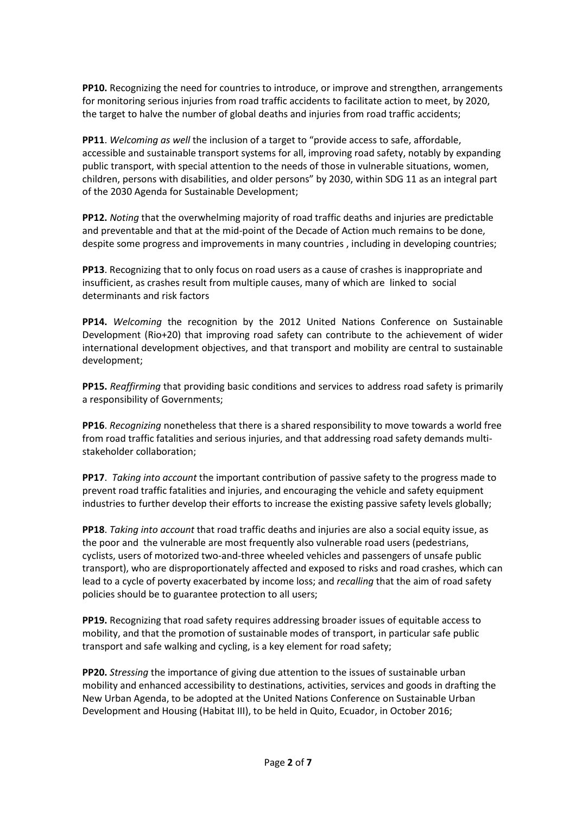**PP10.** Recognizing the need for countries to introduce, or improve and strengthen, arrangements for monitoring serious injuries from road traffic accidents to facilitate action to meet, by 2020, the target to halve the number of global deaths and injuries from road traffic accidents;

**PP11**. *Welcoming as well* the inclusion of a target to "provide access to safe, affordable, accessible and sustainable transport systems for all, improving road safety, notably by expanding public transport, with special attention to the needs of those in vulnerable situations, women, children, persons with disabilities, and older persons" by 2030, within SDG 11 as an integral part of the 2030 Agenda for Sustainable Development;

**PP12.** *Noting* that the overwhelming majority of road traffic deaths and injuries are predictable and preventable and that at the mid-point of the Decade of Action much remains to be done, despite some progress and improvements in many countries , including in developing countries;

**PP13**. Recognizing that to only focus on road users as a cause of crashes is inappropriate and insufficient, as crashes result from multiple causes, many of which are linked to social determinants and risk factors

**PP14.** *Welcoming* the recognition by the 2012 United Nations Conference on Sustainable Development (Rio+20) that improving road safety can contribute to the achievement of wider international development objectives, and that transport and mobility are central to sustainable development;

**PP15.** *Reaffirming* that providing basic conditions and services to address road safety is primarily a responsibility of Governments;

**PP16**. *Recognizing* nonetheless that there is a shared responsibility to move towards a world free from road traffic fatalities and serious injuries, and that addressing road safety demands multistakeholder collaboration;

**PP17**. *Taking into account* the important contribution of passive safety to the progress made to prevent road traffic fatalities and injuries, and encouraging the vehicle and safety equipment industries to further develop their efforts to increase the existing passive safety levels globally;

**PP18**. *Taking into account* that road traffic deaths and injuries are also a social equity issue, as the poor and the vulnerable are most frequently also vulnerable road users (pedestrians, cyclists, users of motorized two-and-three wheeled vehicles and passengers of unsafe public transport), who are disproportionately affected and exposed to risks and road crashes, which can lead to a cycle of poverty exacerbated by income loss; and *recalling* that the aim of road safety policies should be to guarantee protection to all users;

**PP19.** Recognizing that road safety requires addressing broader issues of equitable access to mobility, and that the promotion of sustainable modes of transport, in particular safe public transport and safe walking and cycling, is a key element for road safety;

**PP20.** *Stressing* the importance of giving due attention to the issues of sustainable urban mobility and enhanced accessibility to destinations, activities, services and goods in drafting the New Urban Agenda, to be adopted at the United Nations Conference on Sustainable Urban Development and Housing (Habitat III), to be held in Quito, Ecuador, in October 2016;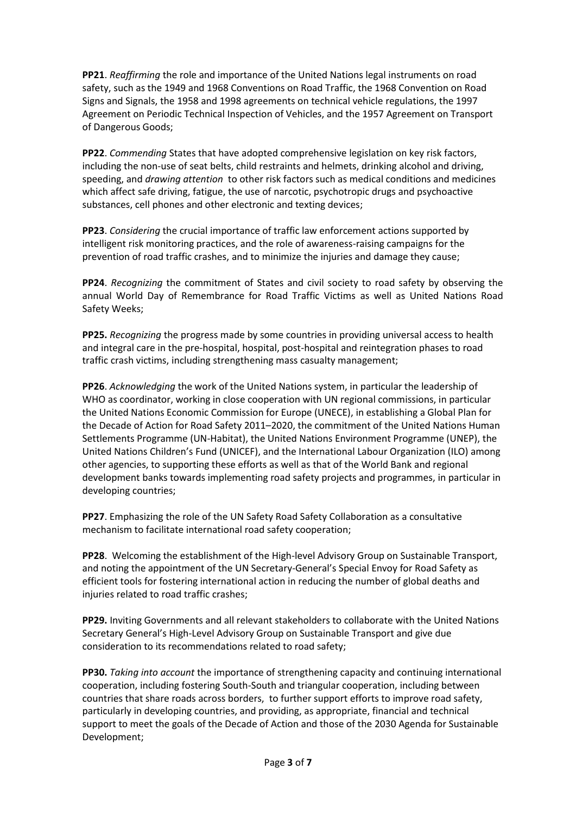**PP21**. *Reaffirming* the role and importance of the United Nations legal instruments on road safety, such as the 1949 and 1968 Conventions on Road Traffic, the 1968 Convention on Road Signs and Signals, the 1958 and 1998 agreements on technical vehicle regulations, the 1997 Agreement on Periodic Technical Inspection of Vehicles, and the 1957 Agreement on Transport of Dangerous Goods;

**PP22**. *Commending* States that have adopted comprehensive legislation on key risk factors, including the non-use of seat belts, child restraints and helmets, drinking alcohol and driving, speeding, and *drawing attention* to other risk factors such as medical conditions and medicines which affect safe driving, fatigue, the use of narcotic, psychotropic drugs and psychoactive substances, cell phones and other electronic and texting devices;

**PP23**. *Considering* the crucial importance of traffic law enforcement actions supported by intelligent risk monitoring practices, and the role of awareness-raising campaigns for the prevention of road traffic crashes, and to minimize the injuries and damage they cause;

**PP24**. *Recognizing* the commitment of States and civil society to road safety by observing the annual World Day of Remembrance for Road Traffic Victims as well as United Nations Road Safety Weeks;

**PP25.** *Recognizing* the progress made by some countries in providing universal access to health and integral care in the pre-hospital, hospital, post-hospital and reintegration phases to road traffic crash victims, including strengthening mass casualty management;

**PP26**. *Acknowledging* the work of the United Nations system, in particular the leadership of WHO as coordinator, working in close cooperation with UN regional commissions, in particular the United Nations Economic Commission for Europe (UNECE), in establishing a Global Plan for the Decade of Action for Road Safety 2011–2020, the commitment of the United Nations Human Settlements Programme (UN-Habitat), the United Nations Environment Programme (UNEP), the United Nations Children's Fund (UNICEF), and the International Labour Organization (ILO) among other agencies, to supporting these efforts as well as that of the World Bank and regional development banks towards implementing road safety projects and programmes, in particular in developing countries;

**PP27**. Emphasizing the role of the UN Safety Road Safety Collaboration as a consultative mechanism to facilitate international road safety cooperation;

**PP28**. Welcoming the establishment of the High-level Advisory Group on Sustainable Transport, and noting the appointment of the UN Secretary-General's Special Envoy for Road Safety as efficient tools for fostering international action in reducing the number of global deaths and injuries related to road traffic crashes;

**PP29.** Inviting Governments and all relevant stakeholders to collaborate with the United Nations Secretary General's High-Level Advisory Group on Sustainable Transport and give due consideration to its recommendations related to road safety;

**PP30.** *Taking into account* the importance of strengthening capacity and continuing international cooperation, including fostering South-South and triangular cooperation, including between countries that share roads across borders, to further support efforts to improve road safety, particularly in developing countries, and providing, as appropriate, financial and technical support to meet the goals of the Decade of Action and those of the 2030 Agenda for Sustainable Development;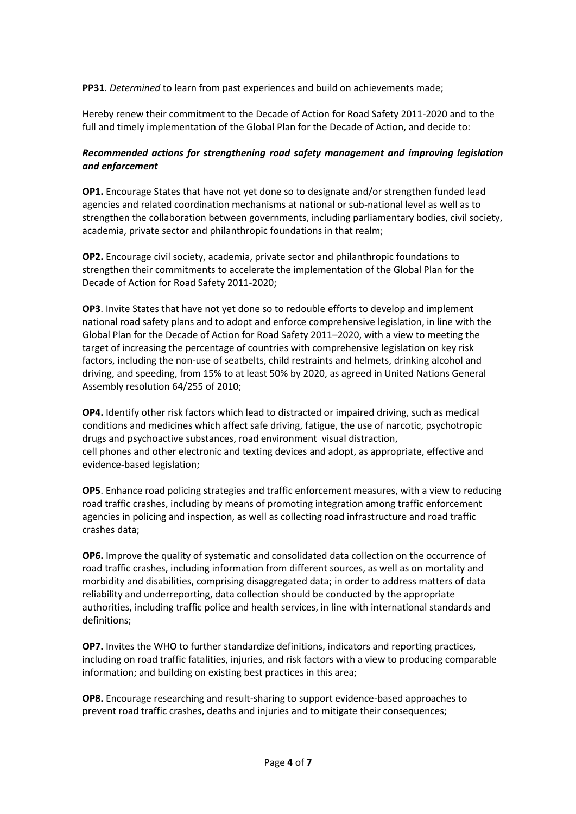**PP31**. *Determined* to learn from past experiences and build on achievements made;

Hereby renew their commitment to the Decade of Action for Road Safety 2011-2020 and to the full and timely implementation of the Global Plan for the Decade of Action, and decide to:

## *Recommended actions for strengthening road safety management and improving legislation and enforcement*

**OP1.** Encourage States that have not yet done so to designate and/or strengthen funded lead agencies and related coordination mechanisms at national or sub-national level as well as to strengthen the collaboration between governments, including parliamentary bodies, civil society, academia, private sector and philanthropic foundations in that realm;

**OP2.** Encourage civil society, academia, private sector and philanthropic foundations to strengthen their commitments to accelerate the implementation of the Global Plan for the Decade of Action for Road Safety 2011-2020;

**OP3**. Invite States that have not yet done so to redouble efforts to develop and implement national road safety plans and to adopt and enforce comprehensive legislation, in line with the Global Plan for the Decade of Action for Road Safety 2011–2020, with a view to meeting the target of increasing the percentage of countries with comprehensive legislation on key risk factors, including the non-use of seatbelts, child restraints and helmets, drinking alcohol and driving, and speeding, from 15% to at least 50% by 2020, as agreed in United Nations General Assembly resolution 64/255 of 2010;

**OP4.** Identify other risk factors which lead to distracted or impaired driving, such as medical conditions and medicines which affect safe driving, fatigue, the use of narcotic, psychotropic drugs and psychoactive substances, road environment visual distraction, cell phones and other electronic and texting devices and adopt, as appropriate, effective and evidence-based legislation;

**OP5**. Enhance road policing strategies and traffic enforcement measures, with a view to reducing road traffic crashes, including by means of promoting integration among traffic enforcement agencies in policing and inspection, as well as collecting road infrastructure and road traffic crashes data;

**OP6.** Improve the quality of systematic and consolidated data collection on the occurrence of road traffic crashes, including information from different sources, as well as on mortality and morbidity and disabilities, comprising disaggregated data; in order to address matters of data reliability and underreporting, data collection should be conducted by the appropriate authorities, including traffic police and health services, in line with international standards and definitions;

**OP7.** Invites the WHO to further standardize definitions, indicators and reporting practices, including on road traffic fatalities, injuries, and risk factors with a view to producing comparable information; and building on existing best practices in this area;

**OP8.** Encourage researching and result-sharing to support evidence-based approaches to prevent road traffic crashes, deaths and injuries and to mitigate their consequences;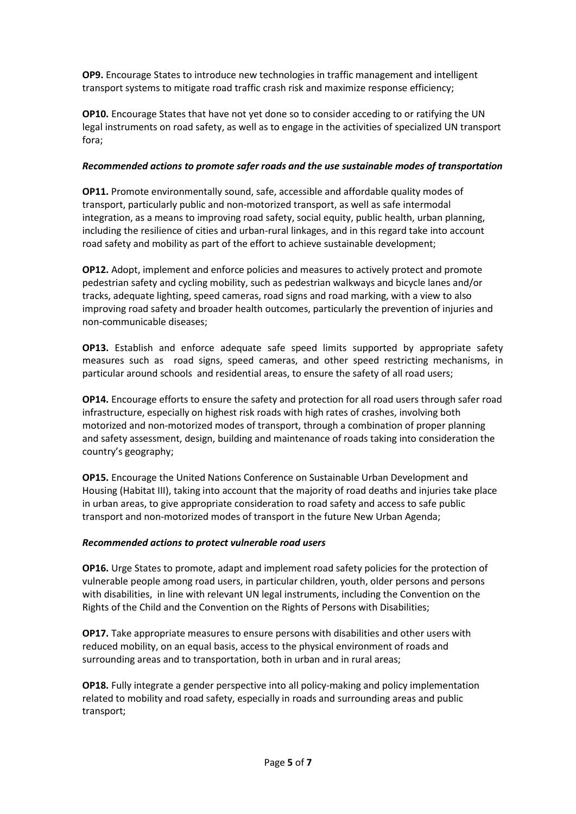**OP9.** Encourage States to introduce new technologies in traffic management and intelligent transport systems to mitigate road traffic crash risk and maximize response efficiency;

**OP10.** Encourage States that have not yet done so to consider acceding to or ratifying the UN legal instruments on road safety, as well as to engage in the activities of specialized UN transport fora;

## *Recommended actions to promote safer roads and the use sustainable modes of transportation*

**OP11.** Promote environmentally sound, safe, accessible and affordable quality modes of transport, particularly public and non-motorized transport, as well as safe intermodal integration, as a means to improving road safety, social equity, public health, urban planning, including the resilience of cities and urban-rural linkages, and in this regard take into account road safety and mobility as part of the effort to achieve sustainable development;

**OP12.** Adopt, implement and enforce policies and measures to actively protect and promote pedestrian safety and cycling mobility, such as pedestrian walkways and bicycle lanes and/or tracks, adequate lighting, speed cameras, road signs and road marking, with a view to also improving road safety and broader health outcomes, particularly the prevention of injuries and non-communicable diseases;

**OP13.** Establish and enforce adequate safe speed limits supported by appropriate safety measures such as road signs, speed cameras, and other speed restricting mechanisms, in particular around schools and residential areas, to ensure the safety of all road users;

**OP14.** Encourage efforts to ensure the safety and protection for all road users through safer road infrastructure, especially on highest risk roads with high rates of crashes, involving both motorized and non-motorized modes of transport, through a combination of proper planning and safety assessment, design, building and maintenance of roads taking into consideration the country's geography;

**OP15.** Encourage the United Nations Conference on Sustainable Urban Development and Housing (Habitat III), taking into account that the majority of road deaths and injuries take place in urban areas, to give appropriate consideration to road safety and access to safe public transport and non-motorized modes of transport in the future New Urban Agenda;

### *Recommended actions to protect vulnerable road users*

**OP16.** Urge States to promote, adapt and implement road safety policies for the protection of vulnerable people among road users, in particular children, youth, older persons and persons with disabilities, in line with relevant UN legal instruments, including the Convention on the Rights of the Child and the Convention on the Rights of Persons with Disabilities;

**OP17.** Take appropriate measures to ensure persons with disabilities and other users with reduced mobility, on an equal basis, access to the physical environment of roads and surrounding areas and to transportation, both in urban and in rural areas;

**OP18.** Fully integrate a gender perspective into all policy-making and policy implementation related to mobility and road safety, especially in roads and surrounding areas and public transport;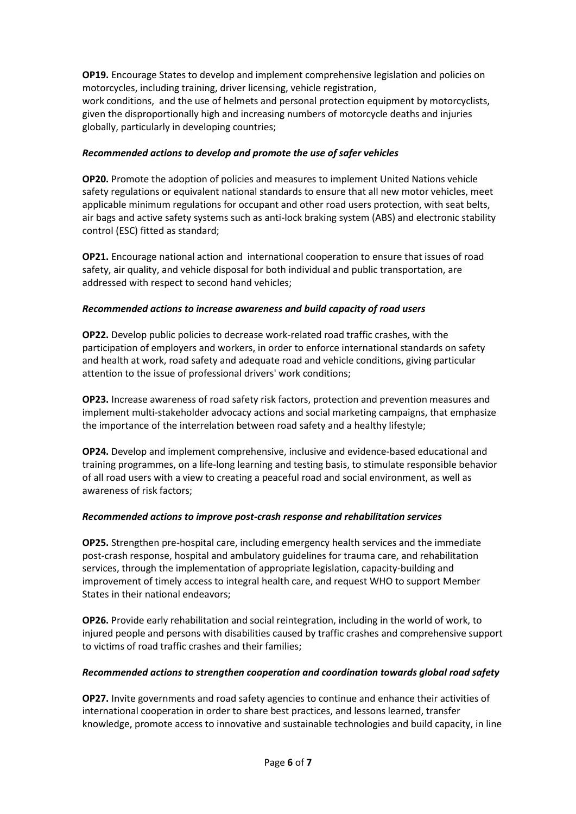**OP19.** Encourage States to develop and implement comprehensive legislation and policies on motorcycles, including training, driver licensing, vehicle registration,

work conditions, and the use of helmets and personal protection equipment by motorcyclists, given the disproportionally high and increasing numbers of motorcycle deaths and injuries globally, particularly in developing countries;

### *Recommended actions to develop and promote the use of safer vehicles*

**OP20.** Promote the adoption of policies and measures to implement United Nations vehicle safety regulations or equivalent national standards to ensure that all new motor vehicles, meet applicable minimum regulations for occupant and other road users protection, with seat belts, air bags and active safety systems such as anti-lock braking system (ABS) and electronic stability control (ESC) fitted as standard;

**OP21.** Encourage national action and international cooperation to ensure that issues of road safety, air quality, and vehicle disposal for both individual and public transportation, are addressed with respect to second hand vehicles;

## *Recommended actions to increase awareness and build capacity of road users*

**OP22.** Develop public policies to decrease work-related road traffic crashes, with the participation of employers and workers, in order to enforce international standards on safety and health at work, road safety and adequate road and vehicle conditions, giving particular attention to the issue of professional drivers' work conditions;

**OP23.** Increase awareness of road safety risk factors, protection and prevention measures and implement multi-stakeholder advocacy actions and social marketing campaigns, that emphasize the importance of the interrelation between road safety and a healthy lifestyle;

**OP24.** Develop and implement comprehensive, inclusive and evidence-based educational and training programmes, on a life-long learning and testing basis, to stimulate responsible behavior of all road users with a view to creating a peaceful road and social environment, as well as awareness of risk factors;

### *Recommended actions to improve post-crash response and rehabilitation services*

**OP25.** Strengthen pre-hospital care, including emergency health services and the immediate post-crash response, hospital and ambulatory guidelines for trauma care, and rehabilitation services, through the implementation of appropriate legislation, capacity-building and improvement of timely access to integral health care, and request WHO to support Member States in their national endeavors;

**OP26.** Provide early rehabilitation and social reintegration, including in the world of work, to injured people and persons with disabilities caused by traffic crashes and comprehensive support to victims of road traffic crashes and their families;

### *Recommended actions to strengthen cooperation and coordination towards global road safety*

**OP27.** Invite governments and road safety agencies to continue and enhance their activities of international cooperation in order to share best practices, and lessons learned, transfer knowledge, promote access to innovative and sustainable technologies and build capacity, in line